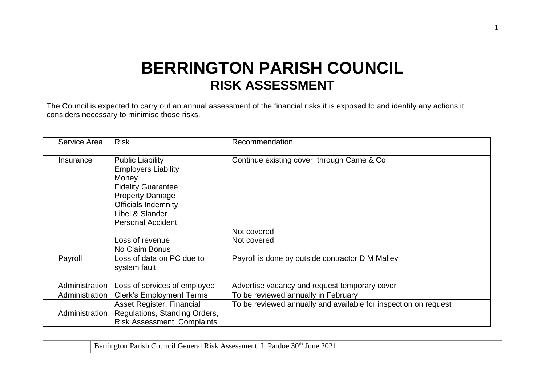## **BERRINGTON PARISH COUNCIL RISK ASSESSMENT**

The Council is expected to carry out an annual assessment of the financial risks it is exposed to and identify any actions it considers necessary to minimise those risks.

| Service Area   | <b>Risk</b>                                                                                                                                                                                        | Recommendation                                                  |
|----------------|----------------------------------------------------------------------------------------------------------------------------------------------------------------------------------------------------|-----------------------------------------------------------------|
| Insurance      | <b>Public Liability</b><br><b>Employers Liability</b><br>Money<br><b>Fidelity Guarantee</b><br><b>Property Damage</b><br><b>Officials Indemnity</b><br>Libel & Slander<br><b>Personal Accident</b> | Continue existing cover through Came & Co.                      |
|                |                                                                                                                                                                                                    | Not covered                                                     |
|                | Loss of revenue<br>No Claim Bonus                                                                                                                                                                  | Not covered                                                     |
| Payroll        | Loss of data on PC due to<br>system fault                                                                                                                                                          | Payroll is done by outside contractor D M Malley                |
| Administration | Loss of services of employee                                                                                                                                                                       | Advertise vacancy and request temporary cover                   |
| Administration | <b>Clerk's Employment Terms</b>                                                                                                                                                                    | To be reviewed annually in February                             |
| Administration | Asset Register, Financial<br>Regulations, Standing Orders,<br><b>Risk Assessment, Complaints</b>                                                                                                   | To be reviewed annually and available for inspection on request |